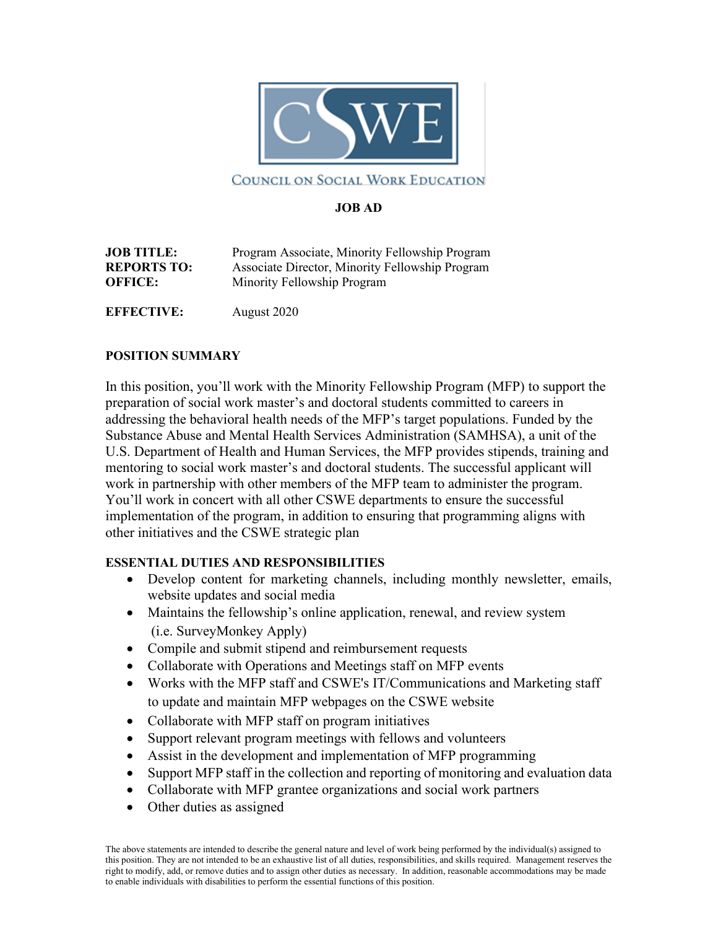

## COUNCIL ON SOCIAL WORK EDUCATION

### **JOB AD**

| <b>JOB TITLE:</b>  | Program Associate, Minority Fellowship Program  |
|--------------------|-------------------------------------------------|
| <b>REPORTS TO:</b> | Associate Director, Minority Fellowship Program |
| <b>OFFICE:</b>     | Minority Fellowship Program                     |
| <b>EFFECTIVE:</b>  | August 2020                                     |

#### **POSITION SUMMARY**

In this position, you'll work with the Minority Fellowship Program (MFP) to support the preparation of social work master's and doctoral students committed to careers in addressing the behavioral health needs of the MFP's target populations. Funded by the Substance Abuse and Mental Health Services Administration (SAMHSA), a unit of the U.S. Department of Health and Human Services, the MFP provides stipends, training and mentoring to social work master's and doctoral students. The successful applicant will work in partnership with other members of the MFP team to administer the program. You'll work in concert with all other CSWE departments to ensure the successful implementation of the program, in addition to ensuring that programming aligns with other initiatives and the CSWE strategic plan

### **ESSENTIAL DUTIES AND RESPONSIBILITIES**

- Develop content for marketing channels, including monthly newsletter, emails, website updates and social media
- Maintains the fellowship's online application, renewal, and review system (i.e. SurveyMonkey Apply)
- Compile and submit stipend and reimbursement requests
- Collaborate with Operations and Meetings staff on MFP events
- Works with the MFP staff and CSWE's IT/Communications and Marketing staff to update and maintain MFP webpages on the CSWE website
- Collaborate with MFP staff on program initiatives
- Support relevant program meetings with fellows and volunteers
- Assist in the development and implementation of MFP programming
- Support MFP staff in the collection and reporting of monitoring and evaluation data
- Collaborate with MFP grantee organizations and social work partners
- Other duties as assigned